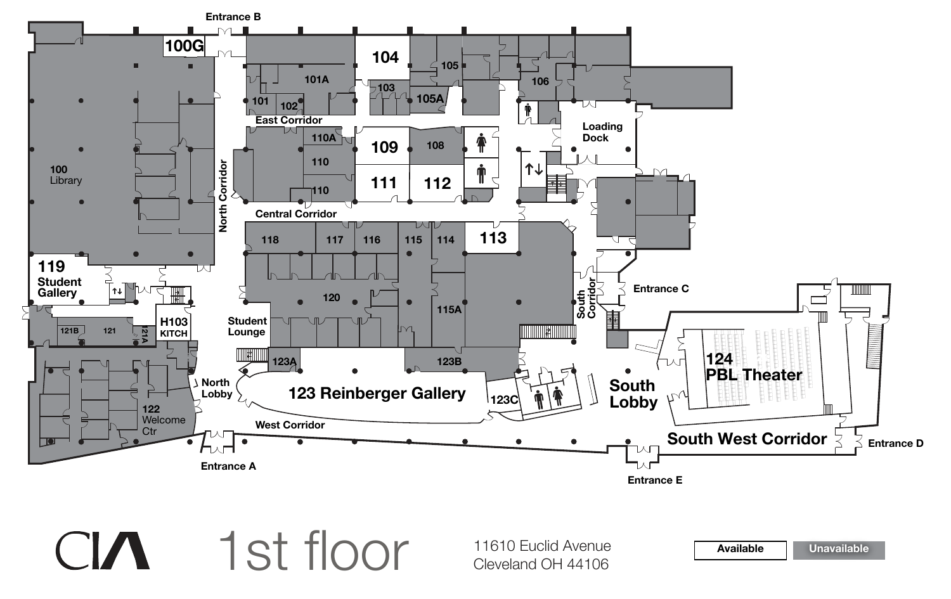**Available Unavailable**





11610 Euclid Avenue<br>Cleveland OH 44106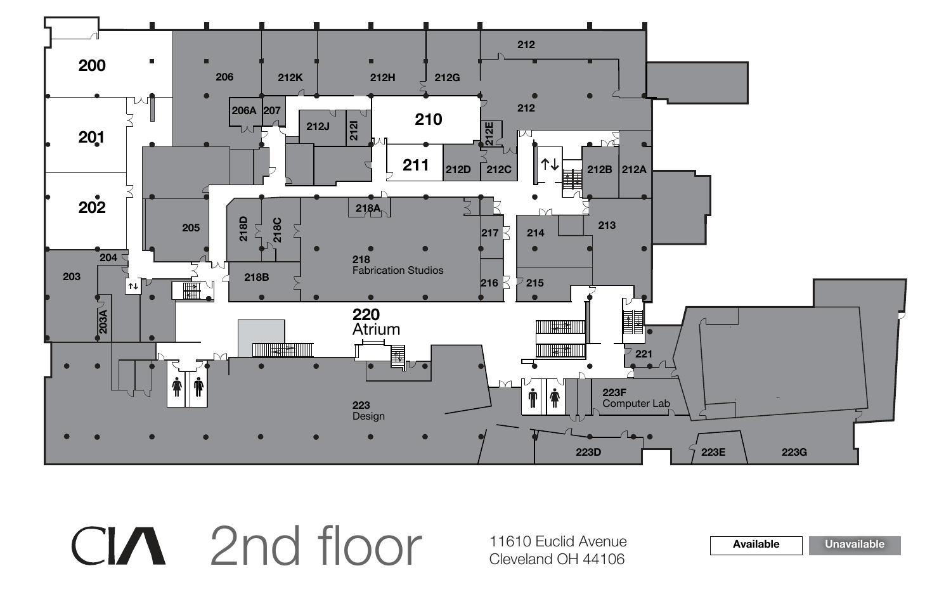**Available Unavailable**



2nd floor 11610 Euclid Avenue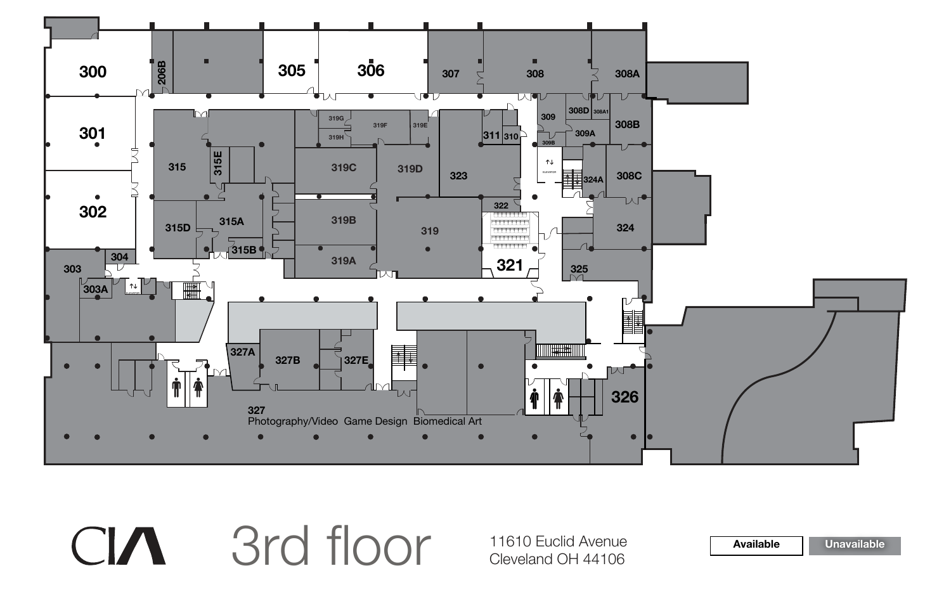**Available Unavailable**



3rd floor 11610 Euclid Avenue